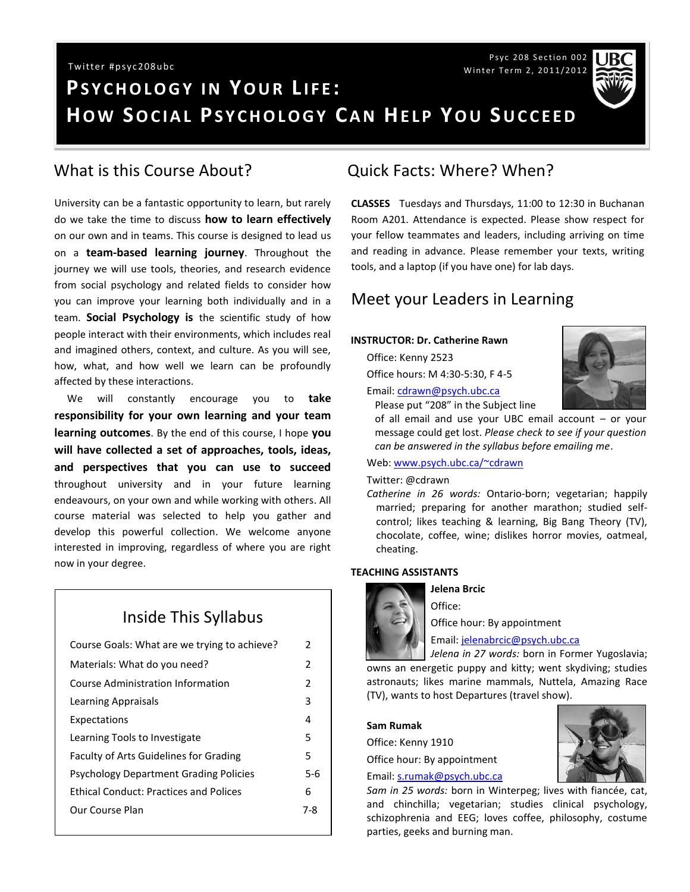Psyc 208 Section 002 Winter Term 2, 2011/2012

# **PS Y C H O L O G Y I N YO U R L I F E : HOW SOCIAL PSYCHOLOGY CAN HELP YOU SUCCEED** Twitter #psyc208ubc

### What is this Course About?

University can be a fantastic opportunity to learn, but rarely do we take the time to discuss **how to learn effectively** on our own and in teams. This course is designed to lead us on a **team-based learning journey**. Throughout the journey we will use tools, theories, and research evidence from social psychology and related fields to consider how you can improve your learning both individually and in a team. **Social Psychology is** the scientific study of how people interact with their environments, which includes real and imagined others, context, and culture. As you will see, how, what, and how well we learn can be profoundly affected by these interactions.

 We will constantly encourage you to **take responsibility for your own learning and your team learning outcomes**. By the end of this course, I hope **you will have collected a set of approaches, tools, ideas, and perspectives that you can use to succeed** throughout university and in your future learning endeavours, on your own and while working with others. All course material was selected to help you gather and develop this powerful collection. We welcome anyone interested in improving, regardless of where you are right now in your degree.

## Inside This Syllabus

| Course Goals: What are we trying to achieve?  | 2             |
|-----------------------------------------------|---------------|
| Materials: What do you need?                  | $\mathcal{P}$ |
| Course Administration Information             | 2             |
| Learning Appraisals                           | 3             |
| Expectations                                  | 4             |
| Learning Tools to Investigate                 | 5             |
| <b>Faculty of Arts Guidelines for Grading</b> | 5             |
| <b>Psychology Department Grading Policies</b> | 5-6           |
| <b>Ethical Conduct: Practices and Polices</b> | 6             |
| Our Course Plan                               | 7-8           |
|                                               |               |

### Quick Facts: Where? When?

**CLASSES** Tuesdays and Thursdays, 11:00 to 12:30 in Buchanan Room A201. Attendance is expected. Please show respect for your fellow teammates and leaders, including arriving on time and reading in advance. Please remember your texts, writing tools, and a laptop (if you have one) for lab days.

### Meet your Leaders in Learning

#### **INSTRUCTOR: Dr. Catherine Rawn**

Office: Kenny 2523

Office hours: M 4:30-5:30, F 4-5

#### Email: [cdrawn@psych.ubc.ca](mailto:cdrawn@psych.ubc.ca)

Please put "208" in the Subject line

of all email and use your UBC email account – or your message could get lost. *Please check to see if your question can be answered in the syllabus before emailing me*.

#### Web[: www.psych.ubc.ca/~cdrawn](http://www.psych.ubc.ca/~cdrawn)

#### Twitter: @cdrawn

*Catherine in 26 words:* Ontario-born; vegetarian; happily married; preparing for another marathon; studied selfcontrol; likes teaching & learning, Big Bang Theory (TV), chocolate, coffee, wine; dislikes horror movies, oatmeal, cheating.

#### **TEACHING ASSISTANTS**



#### **Jelena Brcic** Office:

Office hour: By appointment

Email[: jelenabrcic@psych.ubc.ca](mailto:jelenabrcic@psych.ubc.ca)

*Jelena in 27 words:* born in Former Yugoslavia; owns an energetic puppy and kitty; went skydiving; studies astronauts; likes marine mammals, Nuttela, Amazing Race (TV), wants to host Departures (travel show).

#### **Sam Rumak**

Office: Kenny 1910

Office hour: By appointment

#### Email: [s.rumak@psych.ubc.ca](mailto:s.rumak@psych.ubc.ca)

*Sam in 25 words:* born in Winterpeg; lives with fiancée, cat, and chinchilla; vegetarian; studies clinical psychology, schizophrenia and EEG; loves coffee, philosophy, costume parties, geeks and burning man.



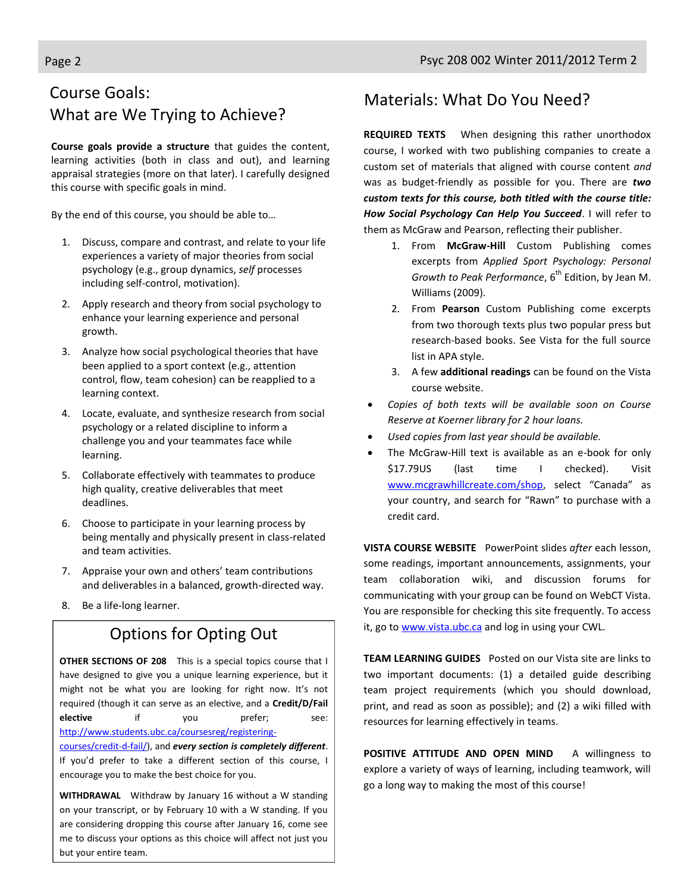## Course Goals: What are We Trying to Achieve?

**Course goals provide a structure** that guides the content, learning activities (both in class and out), and learning appraisal strategies (more on that later). I carefully designed this course with specific goals in mind.

By the end of this course, you should be able to…

- 1. Discuss, compare and contrast, and relate to your life experiences a variety of major theories from social psychology (e.g., group dynamics, *self* processes including self-control, motivation).
- 2. Apply research and theory from social psychology to enhance your learning experience and personal growth.
- 3. Analyze how social psychological theories that have been applied to a sport context (e.g., attention control, flow, team cohesion) can be reapplied to a learning context.
- 4. Locate, evaluate, and synthesize research from social psychology or a related discipline to inform a challenge you and your teammates face while learning.
- 5. Collaborate effectively with teammates to produce high quality, creative deliverables that meet deadlines.
- 6. Choose to participate in your learning process by being mentally and physically present in class-related and team activities.
- 7. Appraise your own and others' team contributions and deliverables in a balanced, growth-directed way.
- 8. Be a life-long learner.

### Options for Opting Out

**OTHER SECTIONS OF 208** This is a special topics course that I have designed to give you a unique learning experience, but it might not be what you are looking for right now. It's not required (though it can serve as an elective, and a **Credit/D/Fail elective** if you prefer; see: [http://www.students.ubc.ca/coursesreg/registering-](http://www.students.ubc.ca/coursesreg/registering-courses/credit-d-fail/)

[courses/credit-d-fail/\)](http://www.students.ubc.ca/coursesreg/registering-courses/credit-d-fail/), and *every section is completely different*. If you'd prefer to take a different section of this course, I encourage you to make the best choice for you.

**WITHDRAWAL** Withdraw by January 16 without a W standing on your transcript, or by February 10 with a W standing. If you are considering dropping this course after January 16, come see me to discuss your options as this choice will affect not just you but your entire team.

### Materials: What Do You Need?

**REQUIRED TEXTS** When designing this rather unorthodox course, I worked with two publishing companies to create a custom set of materials that aligned with course content *and* was as budget-friendly as possible for you. There are *two custom texts for this course, both titled with the course title: How Social Psychology Can Help You Succeed*. I will refer to them as McGraw and Pearson, reflecting their publisher.

- 1. From **McGraw-Hill** Custom Publishing comes excerpts from *Applied Sport Psychology: Personal Growth to Peak Performance*, 6<sup>th</sup> Edition, by Jean M. Williams (2009).
- 2. From **Pearson** Custom Publishing come excerpts from two thorough texts plus two popular press but research-based books. See Vista for the full source list in APA style.
- 3. A few **additional readings** can be found on the Vista course website.
- *Copies of both texts will be available soon on Course Reserve at Koerner library for 2 hour loans.*
- *Used copies from last year should be available.*
- The McGraw-Hill text is available as an e-book for only \$17.79US (last time I checked). Visit [www.mcgrawhillcreate.com/shop](http://www.mcgrawhillcreate.com/shop), select "Canada" as your country, and search for "Rawn" to purchase with a credit card.

**VISTA COURSE WEBSITE** PowerPoint slides *after* each lesson, some readings, important announcements, assignments, your team collaboration wiki, and discussion forums for communicating with your group can be found on WebCT Vista. You are responsible for checking this site frequently. To access it, go t[o www.vista.ubc.ca](http://www.vista.ubc.ca/) and log in using your CWL.

**TEAM LEARNING GUIDES** Posted on our Vista site are links to two important documents: (1) a detailed guide describing team project requirements (which you should download, print, and read as soon as possible); and (2) a wiki filled with resources for learning effectively in teams.

**POSITIVE ATTITUDE AND OPEN MIND** A willingness to explore a variety of ways of learning, including teamwork, will go a long way to making the most of this course!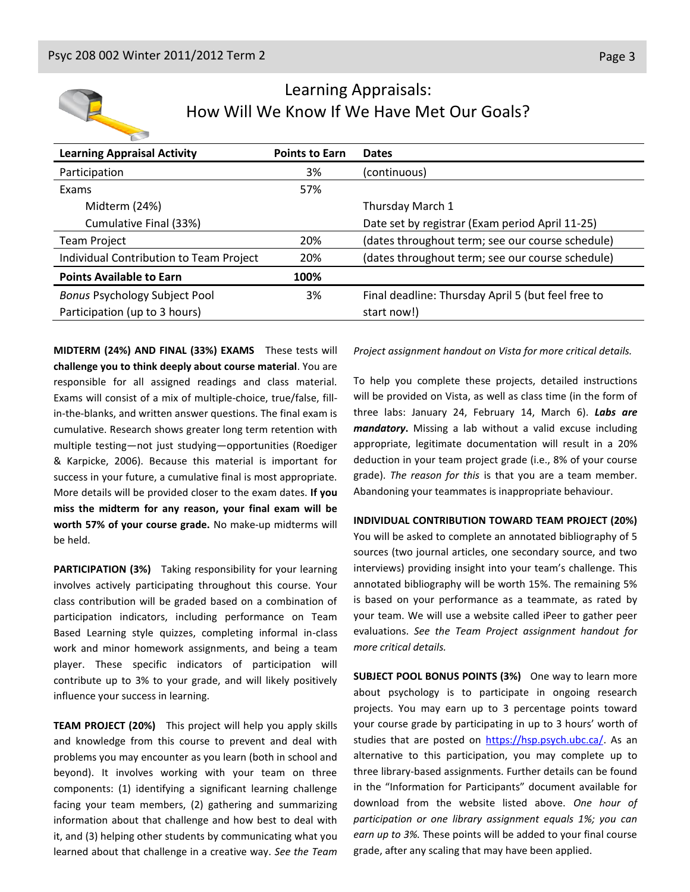

### Learning Appraisals: How Will We Know If We Have Met Our Goals?

| <b>Learning Appraisal Activity</b>      | <b>Points to Earn</b> | <b>Dates</b>                                       |
|-----------------------------------------|-----------------------|----------------------------------------------------|
| Participation                           | 3%                    | (continuous)                                       |
| Exams                                   | 57%                   |                                                    |
| Midterm (24%)                           |                       | Thursday March 1                                   |
| Cumulative Final (33%)                  |                       | Date set by registrar (Exam period April 11-25)    |
| <b>Team Project</b>                     | 20%                   | (dates throughout term; see our course schedule)   |
| Individual Contribution to Team Project | 20%                   | (dates throughout term; see our course schedule)   |
| <b>Points Available to Earn</b>         | 100%                  |                                                    |
| <b>Bonus Psychology Subject Pool</b>    | 3%                    | Final deadline: Thursday April 5 (but feel free to |
| Participation (up to 3 hours)           |                       | start now!)                                        |

**MIDTERM (24%) AND FINAL (33%) EXAMS** These tests will **challenge you to think deeply about course material**. You are responsible for all assigned readings and class material. Exams will consist of a mix of multiple-choice, true/false, fillin-the-blanks, and written answer questions. The final exam is cumulative. Research shows greater long term retention with multiple testing—not just studying—opportunities (Roediger & Karpicke, 2006). Because this material is important for success in your future, a cumulative final is most appropriate. More details will be provided closer to the exam dates. **If you miss the midterm for any reason, your final exam will be worth 57% of your course grade.** No make-up midterms will be held.

**PARTICIPATION (3%)** Taking responsibility for your learning involves actively participating throughout this course. Your class contribution will be graded based on a combination of participation indicators, including performance on Team Based Learning style quizzes, completing informal in-class work and minor homework assignments, and being a team player. These specific indicators of participation will contribute up to 3% to your grade, and will likely positively influence your success in learning.

**TEAM PROJECT (20%)** This project will help you apply skills and knowledge from this course to prevent and deal with problems you may encounter as you learn (both in school and beyond). It involves working with your team on three components: (1) identifying a significant learning challenge facing your team members, (2) gathering and summarizing information about that challenge and how best to deal with it, and (3) helping other students by communicating what you learned about that challenge in a creative way. *See the Team*  *Project assignment handout on Vista for more critical details.*

To help you complete these projects, detailed instructions will be provided on Vista, as well as class time (in the form of three labs: January 24, February 14, March 6). *Labs are mandatory***.** Missing a lab without a valid excuse including appropriate, legitimate documentation will result in a 20% deduction in your team project grade (i.e., 8% of your course grade). *The reason for this* is that you are a team member. Abandoning your teammates is inappropriate behaviour.

#### **INDIVIDUAL CONTRIBUTION TOWARD TEAM PROJECT (20%)**

You will be asked to complete an annotated bibliography of 5 sources (two journal articles, one secondary source, and two interviews) providing insight into your team's challenge. This annotated bibliography will be worth 15%. The remaining 5% is based on your performance as a teammate, as rated by your team. We will use a website called iPeer to gather peer evaluations. *See the Team Project assignment handout for more critical details.*

**SUBJECT POOL BONUS POINTS (3%)** One way to learn more about psychology is to participate in ongoing research projects. You may earn up to 3 percentage points toward your course grade by participating in up to 3 hours' worth of studies that are posted on [https://hsp.psych.ubc.ca/.](https://hsp.psych.ubc.ca/) As an alternative to this participation, you may complete up to three library-based assignments. Further details can be found in the "Information for Participants" document available for download from the website listed above. *One hour of participation or one library assignment equals 1%; you can earn up to 3%.* These points will be added to your final course grade, after any scaling that may have been applied.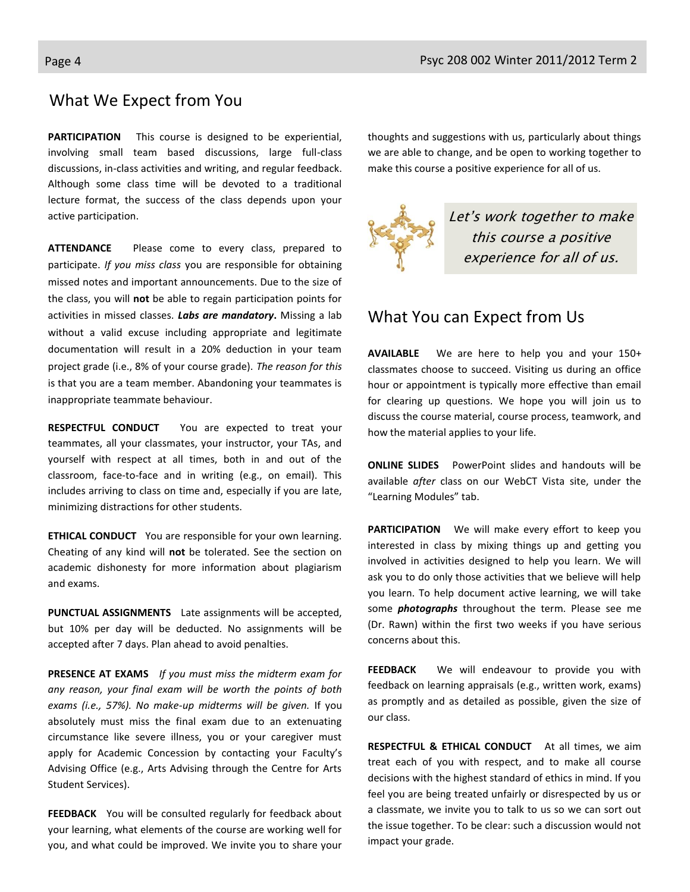#### What We Expect from You

**PARTICIPATION** This course is designed to be experiential, involving small team based discussions, large full-class discussions, in-class activities and writing, and regular feedback. Although some class time will be devoted to a traditional lecture format, the success of the class depends upon your active participation.

**ATTENDANCE** Please come to every class, prepared to participate. *If you miss class* you are responsible for obtaining missed notes and important announcements. Due to the size of the class, you will **not** be able to regain participation points for activities in missed classes. *Labs are mandatory***.** Missing a lab without a valid excuse including appropriate and legitimate documentation will result in a 20% deduction in your team project grade (i.e., 8% of your course grade). *The reason for this* is that you are a team member. Abandoning your teammates is inappropriate teammate behaviour.

**RESPECTFUL CONDUCT** You are expected to treat your teammates, all your classmates, your instructor, your TAs, and yourself with respect at all times, both in and out of the classroom, face-to-face and in writing (e.g., on email). This includes arriving to class on time and, especially if you are late, minimizing distractions for other students.

**ETHICAL CONDUCT** You are responsible for your own learning. Cheating of any kind will **not** be tolerated. See the section on academic dishonesty for more information about plagiarism and exams.

**PUNCTUAL ASSIGNMENTS** Late assignments will be accepted, but 10% per day will be deducted. No assignments will be accepted after 7 days. Plan ahead to avoid penalties.

**PRESENCE AT EXAMS** *If you must miss the midterm exam for any reason, your final exam will be worth the points of both exams (i.e., 57%). No make-up midterms will be given.* If you absolutely must miss the final exam due to an extenuating circumstance like severe illness, you or your caregiver must apply for Academic Concession by contacting your Faculty's Advising Office (e.g., Arts Advising through the Centre for Arts Student Services).

**FEEDBACK** You will be consulted regularly for feedback about your learning, what elements of the course are working well for you, and what could be improved. We invite you to share your

thoughts and suggestions with us, particularly about things we are able to change, and be open to working together to make this course a positive experience for all of us.



### What You can Expect from Us

**AVAILABLE** We are here to help you and your 150+ classmates choose to succeed. Visiting us during an office hour or appointment is typically more effective than email for clearing up questions. We hope you will join us to discuss the course material, course process, teamwork, and how the material applies to your life.

**ONLINE SLIDES** PowerPoint slides and handouts will be available *after* class on our WebCT Vista site, under the "Learning Modules" tab.

**PARTICIPATION** We will make every effort to keep you interested in class by mixing things up and getting you involved in activities designed to help you learn. We will ask you to do only those activities that we believe will help you learn. To help document active learning, we will take some *photographs* throughout the term. Please see me (Dr. Rawn) within the first two weeks if you have serious concerns about this.

**FEEDBACK** We will endeavour to provide you with feedback on learning appraisals (e.g., written work, exams) as promptly and as detailed as possible, given the size of our class.

**RESPECTFUL & ETHICAL CONDUCT** At all times, we aim treat each of you with respect, and to make all course decisions with the highest standard of ethics in mind. If you feel you are being treated unfairly or disrespected by us or a classmate, we invite you to talk to us so we can sort out the issue together. To be clear: such a discussion would not impact your grade.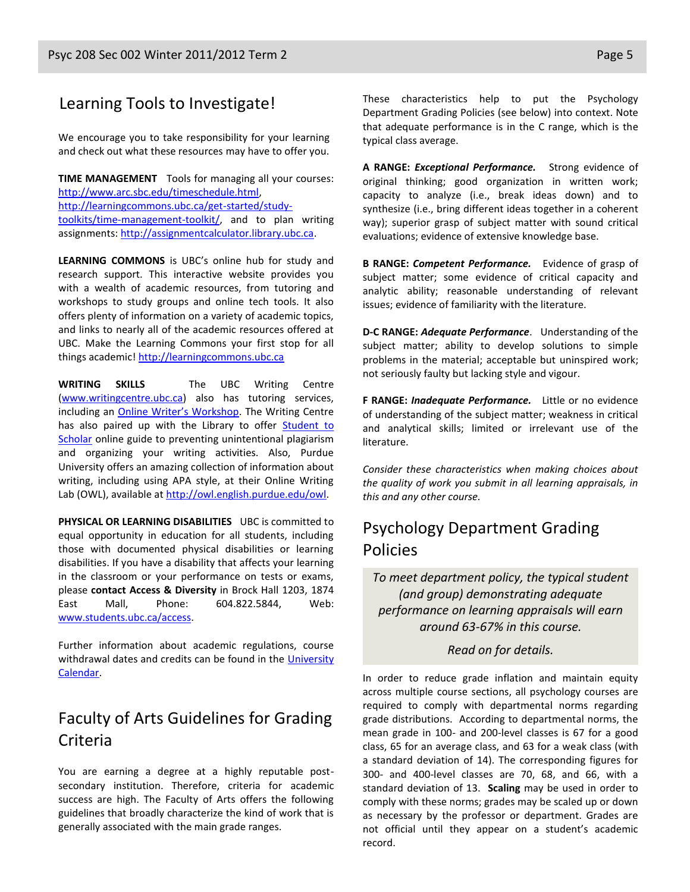### Learning Tools to Investigate!

We encourage you to take responsibility for your learning and check out what these resources may have to offer you.

**TIME MANAGEMENT** Tools for managing all your courses: [http://www.arc.sbc.edu/timeschedule.html,](http://www.arc.sbc.edu/timeschedule.html) [http://learningcommons.ubc.ca/get-started/study](http://learningcommons.ubc.ca/get-started/study-toolkits/time-management-toolkit/)[toolkits/time-management-toolkit/,](http://learningcommons.ubc.ca/get-started/study-toolkits/time-management-toolkit/) and to plan writing assignments: [http://assignmentcalculator.library.ubc.ca.](http://assignmentcalculator.library.ubc.ca/)

**LEARNING COMMONS** is UBC's online hub for study and research support. This interactive website provides you with a wealth of academic resources, from tutoring and workshops to study groups and online tech tools. It also offers plenty of information on a variety of academic topics, and links to nearly all of the academic resources offered at UBC. Make the Learning Commons your first stop for all things academic! [http://learningcommons.ubc.ca](http://learningcommons.ubc.ca/)

**WRITING SKILLS** The UBC Writing Centre [\(www.writingcentre.ubc.ca\)](http://www.writingcentre.ubc.ca/) also has tutoring services, including an **[Online Writer's Workshop](http://www.writingcentre.ubc.ca/workshop/index.html)**. The Writing Centre has also paired up with the Library to offer Student to [Scholar](http://www.library.ubc.ca/hss/instruction/sts/Whole_page.htm) online guide to preventing unintentional plagiarism and organizing your writing activities. Also, Purdue University offers an amazing collection of information about writing, including using APA style, at their Online Writing Lab (OWL), available a[t http://owl.english.purdue.edu/owl.](http://owl.english.purdue.edu/owl/)

**PHYSICAL OR LEARNING DISABILITIES** UBC is committed to equal opportunity in education for all students, including those with documented physical disabilities or learning disabilities. If you have a disability that affects your learning in the classroom or your performance on tests or exams, please **contact Access & Diversity** in Brock Hall 1203, 1874 East Mall, Phone: 604.822.5844, Web: [www.students.ubc.ca/access.](http://www.students.ubc.ca/access)

Further information about academic regulations, course withdrawal dates and credits can be found in the University [Calendar.](http://students.ubc.ca/calendar/academicyear.cfm)

### Faculty of Arts Guidelines for Grading Criteria

You are earning a degree at a highly reputable postsecondary institution. Therefore, criteria for academic success are high. The Faculty of Arts offers the following guidelines that broadly characterize the kind of work that is generally associated with the main grade ranges.

These characteristics help to put the Psychology Department Grading Policies (see below) into context. Note that adequate performance is in the C range, which is the typical class average.

**A RANGE:** *Exceptional Performance.* Strong evidence of original thinking; good organization in written work; capacity to analyze (i.e., break ideas down) and to synthesize (i.e., bring different ideas together in a coherent way); superior grasp of subject matter with sound critical evaluations; evidence of extensive knowledge base.

**B RANGE:** *Competent Performance.* Evidence of grasp of subject matter; some evidence of critical capacity and analytic ability; reasonable understanding of relevant issues; evidence of familiarity with the literature.

**D-C RANGE:** *Adequate Performance*. Understanding of the subject matter; ability to develop solutions to simple problems in the material; acceptable but uninspired work; not seriously faulty but lacking style and vigour.

**F RANGE:** *Inadequate Performance.* Little or no evidence of understanding of the subject matter; weakness in critical and analytical skills; limited or irrelevant use of the literature.

*Consider these characteristics when making choices about the quality of work you submit in all learning appraisals, in this and any other course.*

### Psychology Department Grading Policies

*To meet department policy, the typical student (and group) demonstrating adequate performance on learning appraisals will earn around 63-67% in this course.* 

*Read on for details.*

In order to reduce grade inflation and maintain equity across multiple course sections, all psychology courses are required to comply with departmental norms regarding grade distributions. According to departmental norms, the mean grade in 100- and 200-level classes is 67 for a good class, 65 for an average class, and 63 for a weak class (with a standard deviation of 14). The corresponding figures for 300- and 400-level classes are 70, 68, and 66, with a standard deviation of 13. **Scaling** may be used in order to comply with these norms; grades may be scaled up or down as necessary by the professor or department. Grades are not official until they appear on a student's academic record.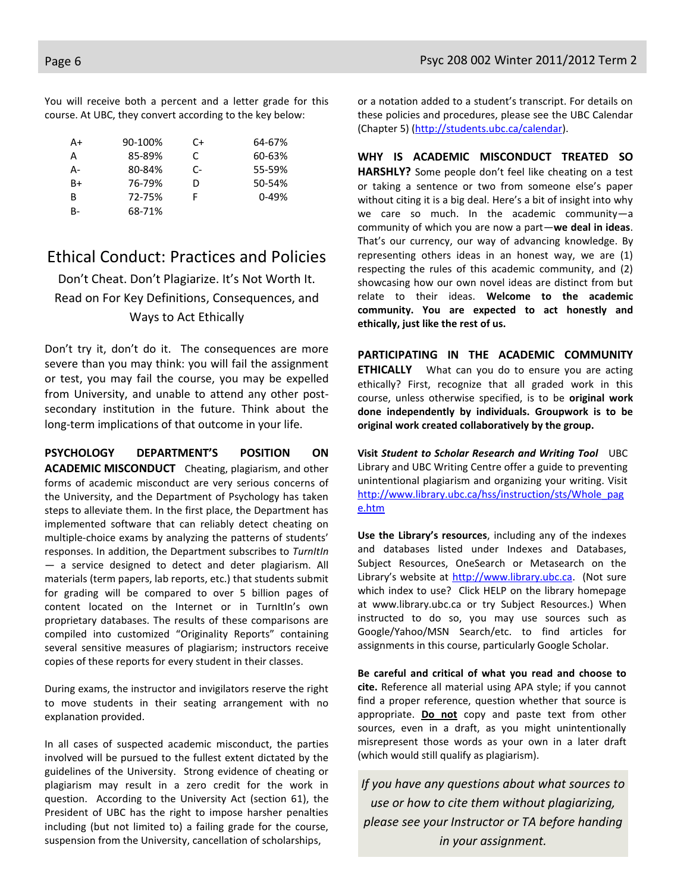You will receive both a percent and a letter grade for this course. At UBC, they convert according to the key below:

| A+ | 90-100% | C+ | 64-67%    |
|----|---------|----|-----------|
| А  | 85-89%  | C  | 60-63%    |
| А- | 80-84%  | C- | 55-59%    |
| B+ | 76-79%  | D  | 50-54%    |
| B  | 72-75%  | F  | $0 - 49%$ |
| B- | 68-71%  |    |           |

#### Ethical Conduct: Practices and Policies

Don't Cheat. Don't Plagiarize. It's Not Worth It. Read on For Key Definitions, Consequences, and Ways to Act Ethically

Don't try it, don't do it. The consequences are more severe than you may think: you will fail the assignment or test, you may fail the course, you may be expelled from University, and unable to attend any other postsecondary institution in the future. Think about the long-term implications of that outcome in your life.

**PSYCHOLOGY DEPARTMENT'S POSITION ON ACADEMIC MISCONDUCT** Cheating, plagiarism, and other forms of academic misconduct are very serious concerns of the University, and the Department of Psychology has taken steps to alleviate them. In the first place, the Department has implemented software that can reliably detect cheating on multiple-choice exams by analyzing the patterns of students' responses. In addition, the Department subscribes to *TurnItIn*  — a service designed to detect and deter plagiarism. All materials (term papers, lab reports, etc.) that students submit for grading will be compared to over 5 billion pages of content located on the Internet or in TurnItIn's own proprietary databases. The results of these comparisons are compiled into customized "Originality Reports" containing several sensitive measures of plagiarism; instructors receive copies of these reports for every student in their classes.

During exams, the instructor and invigilators reserve the right to move students in their seating arrangement with no explanation provided.

In all cases of suspected academic misconduct, the parties involved will be pursued to the fullest extent dictated by the guidelines of the University. Strong evidence of cheating or plagiarism may result in a zero credit for the work in question. According to the University Act (section 61), the President of UBC has the right to impose harsher penalties including (but not limited to) a failing grade for the course, suspension from the University, cancellation of scholarships,

or a notation added to a student's transcript. For details on these policies and procedures, please see the UBC Calendar (Chapter 5) [\(http://students.ubc.ca/calendar\)](http://students.ubc.ca/calendar).

**WHY IS ACADEMIC MISCONDUCT TREATED SO HARSHLY?** Some people don't feel like cheating on a test or taking a sentence or two from someone else's paper without citing it is a big deal. Here's a bit of insight into why we care so much. In the academic community—a community of which you are now a part—**we deal in ideas**. That's our currency, our way of advancing knowledge. By representing others ideas in an honest way, we are (1) respecting the rules of this academic community, and (2) showcasing how our own novel ideas are distinct from but relate to their ideas. **Welcome to the academic community. You are expected to act honestly and ethically, just like the rest of us.**

**PARTICIPATING IN THE ACADEMIC COMMUNITY ETHICALLY** What can you do to ensure you are acting ethically? First, recognize that all graded work in this course, unless otherwise specified, is to be **original work done independently by individuals. Groupwork is to be original work created collaboratively by the group.**

**Visit** *Student to Scholar Research and Writing Tool* UBC Library and UBC Writing Centre offer a guide to preventing unintentional plagiarism and organizing your writing. Visit [http://www.library.ubc.ca/hss/instruction/sts/Whole\\_pag](http://www.library.ubc.ca/hss/instruction/sts/Whole_page.htm) [e.htm](http://www.library.ubc.ca/hss/instruction/sts/Whole_page.htm)

**Use the Library's resources**, including any of the indexes and databases listed under Indexes and Databases, Subject Resources, OneSearch or Metasearch on the Library's website at [http://www.library.ubc.ca.](http://www.library.ubc.ca/) (Not sure which index to use? Click HELP on the library homepage at www.library.ubc.ca or try Subject Resources.) When instructed to do so, you may use sources such as Google/Yahoo/MSN Search/etc. to find articles for assignments in this course, particularly Google Scholar.

**Be careful and critical of what you read and choose to cite.** Reference all material using APA style; if you cannot find a proper reference, question whether that source is appropriate. **Do not** copy and paste text from other sources, even in a draft, as you might unintentionally misrepresent those words as your own in a later draft (which would still qualify as plagiarism).

*If you have any questions about what sources to use or how to cite them without plagiarizing, please see your Instructor or TA before handing in your assignment.*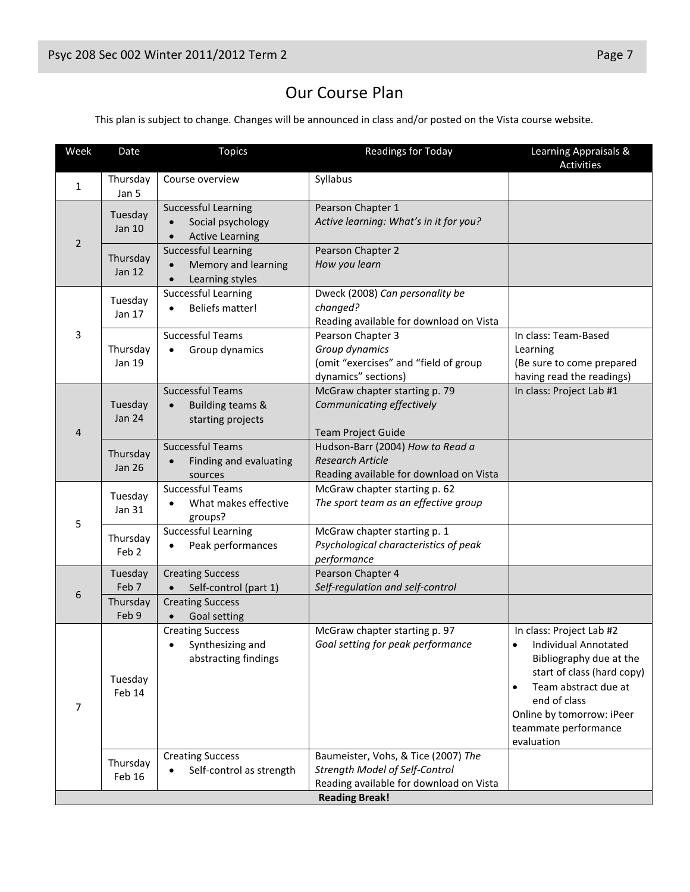# Our Course Plan

This plan is subject to change. Changes will be announced in class and/or posted on the Vista course website.

| Week                  | Date                         | <b>Topics</b>                                                                            | Readings for Today                                                                                               | Learning Appraisals &<br>Activities                                                                                                                                                                                                            |
|-----------------------|------------------------------|------------------------------------------------------------------------------------------|------------------------------------------------------------------------------------------------------------------|------------------------------------------------------------------------------------------------------------------------------------------------------------------------------------------------------------------------------------------------|
| $\mathbf{1}$          | Thursday<br>Jan 5            | Course overview                                                                          | Syllabus                                                                                                         |                                                                                                                                                                                                                                                |
| $\overline{2}$        | Tuesday<br>Jan 10            | <b>Successful Learning</b><br>Social psychology<br>$\bullet$<br><b>Active Learning</b>   | Pearson Chapter 1<br>Active learning: What's in it for you?                                                      |                                                                                                                                                                                                                                                |
|                       | Thursday<br><b>Jan 12</b>    | <b>Successful Learning</b><br>Memory and learning<br>$\bullet$<br>Learning styles        | Pearson Chapter 2<br>How you learn                                                                               |                                                                                                                                                                                                                                                |
| 3                     | Tuesday<br>Jan 17            | Successful Learning<br><b>Beliefs matter!</b><br>$\bullet$                               | Dweck (2008) Can personality be<br>changed?<br>Reading available for download on Vista                           |                                                                                                                                                                                                                                                |
|                       | Thursday<br>Jan 19           | <b>Successful Teams</b><br>Group dynamics<br>$\bullet$                                   | Pearson Chapter 3<br>Group dynamics<br>(omit "exercises" and "field of group<br>dynamics" sections)              | In class: Team-Based<br>Learning<br>(Be sure to come prepared<br>having read the readings)                                                                                                                                                     |
| $\overline{4}$        | Tuesday<br><b>Jan 24</b>     | <b>Successful Teams</b><br><b>Building teams &amp;</b><br>$\bullet$<br>starting projects | McGraw chapter starting p. 79<br>Communicating effectively<br><b>Team Project Guide</b>                          | In class: Project Lab #1                                                                                                                                                                                                                       |
|                       | Thursday<br><b>Jan 26</b>    | <b>Successful Teams</b><br>Finding and evaluating<br>sources                             | Hudson-Barr (2004) How to Read a<br><b>Research Article</b><br>Reading available for download on Vista           |                                                                                                                                                                                                                                                |
| 5                     | Tuesday<br>Jan 31            | <b>Successful Teams</b><br>What makes effective<br>$\bullet$<br>groups?                  | McGraw chapter starting p. 62<br>The sport team as an effective group                                            |                                                                                                                                                                                                                                                |
|                       | Thursday<br>Feb <sub>2</sub> | <b>Successful Learning</b><br>Peak performances                                          | McGraw chapter starting p. 1<br>Psychological characteristics of peak<br>performance                             |                                                                                                                                                                                                                                                |
|                       | Tuesday<br>Feb <sub>7</sub>  | <b>Creating Success</b><br>Self-control (part 1)                                         | Pearson Chapter 4<br>Self-regulation and self-control                                                            |                                                                                                                                                                                                                                                |
| 6                     | Thursday<br>Feb 9            | <b>Creating Success</b><br><b>Goal setting</b>                                           |                                                                                                                  |                                                                                                                                                                                                                                                |
| 7                     | Tuesday<br>Feb 14            | <b>Creating Success</b><br>Synthesizing and<br>abstracting findings                      | McGraw chapter starting p. 97<br>Goal setting for peak performance                                               | In class: Project Lab #2<br>Individual Annotated<br>$\bullet$<br>Bibliography due at the<br>start of class (hard copy)<br>Team abstract due at<br>$\bullet$<br>end of class<br>Online by tomorrow: iPeer<br>teammate performance<br>evaluation |
|                       | Thursday<br>Feb 16           | <b>Creating Success</b><br>Self-control as strength                                      | Baumeister, Vohs, & Tice (2007) The<br>Strength Model of Self-Control<br>Reading available for download on Vista |                                                                                                                                                                                                                                                |
| <b>Reading Break!</b> |                              |                                                                                          |                                                                                                                  |                                                                                                                                                                                                                                                |